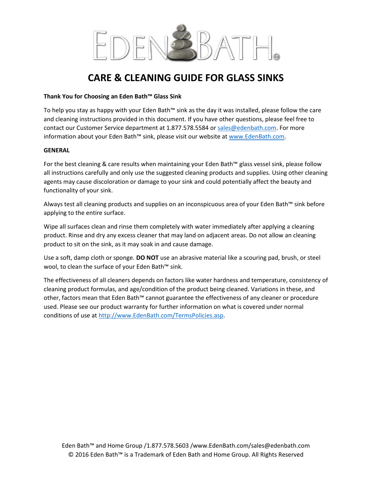

## **CARE & CLEANING GUIDE FOR GLASS SINKS**

### **Thank You for Choosing an Eden Bath™ Glass Sink**

To help you stay as happy with your Eden Bath™ sink as the day it was installed, please follow the care and cleaning instructions provided in this document. If you have other questions, please feel free to contact our Customer Service department at 1.877.578.5584 or [sales@edenbath.com.](mailto:sales@edenbath.com) For more information about your Eden Bath™ sink, please visit our website a[t www.EdenBath.com.](http://www.edenbath.com/)

#### **GENERAL**

For the best cleaning & care results when maintaining your Eden Bath™ glass vessel sink, please follow all instructions carefully and only use the suggested cleaning products and supplies. Using other cleaning agents may cause discoloration or damage to your sink and could potentially affect the beauty and functionality of your sink.

Always test all cleaning products and supplies on an inconspicuous area of your Eden Bath™ sink before applying to the entire surface.

Wipe all surfaces clean and rinse them completely with water immediately after applying a cleaning product. Rinse and dry any excess cleaner that may land on adjacent areas. Do not allow an cleaning product to sit on the sink, as it may soak in and cause damage.

Use a soft, damp cloth or sponge. **DO NOT** use an abrasive material like a scouring pad, brush, or steel wool, to clean the surface of your Eden Bath™ sink.

The effectiveness of all cleaners depends on factors like water hardness and temperature, consistency of cleaning product formulas, and age/condition of the product being cleaned. Variations in these, and other, factors mean that Eden Bath™ cannot guarantee the effectiveness of any cleaner or procedure used. Please see our product warranty for further information on what is covered under normal conditions of use at [http://www.EdenBath.com/TermsPolicies.asp.](http://www.edenbath.com/TermsPolicies.asp)